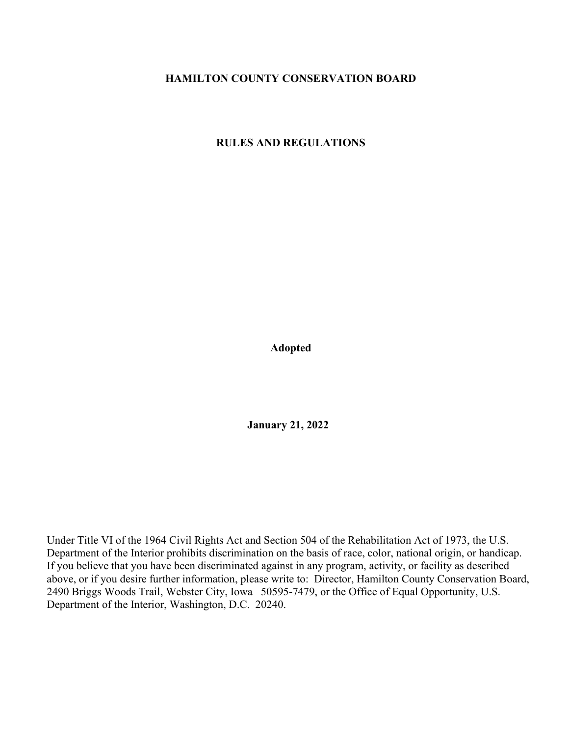## HAMILTON COUNTY CONSERVATION BOARD

RULES AND REGULATIONS

Adopted

January 21, 2022

Under Title VI of the 1964 Civil Rights Act and Section 504 of the Rehabilitation Act of 1973, the U.S. Department of the Interior prohibits discrimination on the basis of race, color, national origin, or handicap. If you believe that you have been discriminated against in any program, activity, or facility as described above, or if you desire further information, please write to: Director, Hamilton County Conservation Board, 2490 Briggs Woods Trail, Webster City, Iowa 50595-7479, or the Office of Equal Opportunity, U.S. Department of the Interior, Washington, D.C. 20240.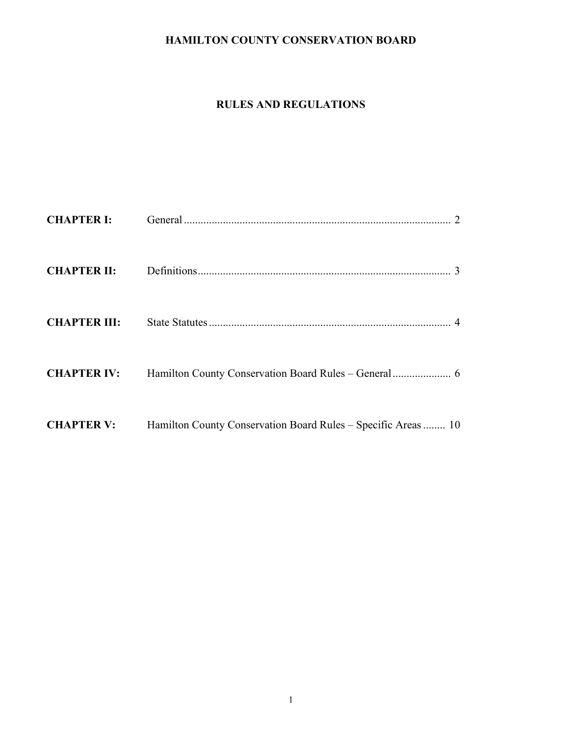# HAMILTON COUNTY CONSERVATION BOARD

# RULES AND REGULATIONS

| <b>CHAPTER III:</b> |                                                               |
|---------------------|---------------------------------------------------------------|
|                     |                                                               |
| <b>CHAPTER V:</b>   | Hamilton County Conservation Board Rules – Specific Areas  10 |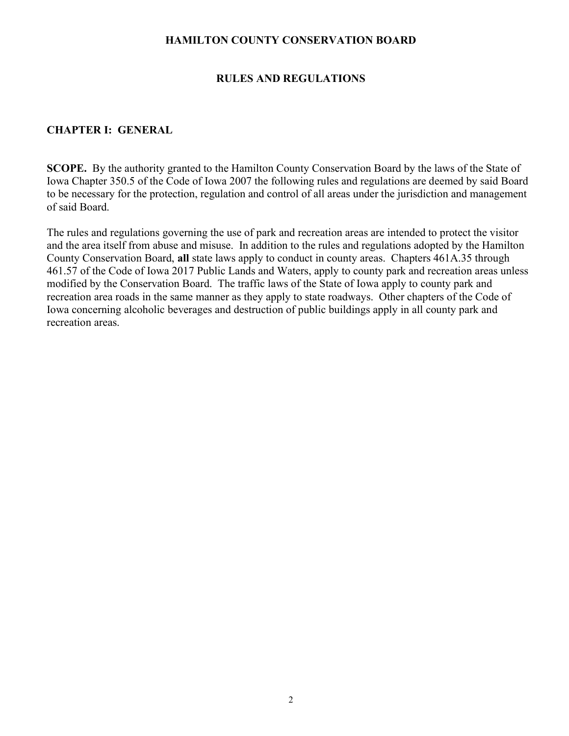## HAMILTON COUNTY CONSERVATION BOARD

## RULES AND REGULATIONS

## CHAPTER I: GENERAL

SCOPE. By the authority granted to the Hamilton County Conservation Board by the laws of the State of Iowa Chapter 350.5 of the Code of Iowa 2007 the following rules and regulations are deemed by said Board to be necessary for the protection, regulation and control of all areas under the jurisdiction and management of said Board.

The rules and regulations governing the use of park and recreation areas are intended to protect the visitor and the area itself from abuse and misuse. In addition to the rules and regulations adopted by the Hamilton County Conservation Board, all state laws apply to conduct in county areas. Chapters 461A.35 through 461.57 of the Code of Iowa 2017 Public Lands and Waters, apply to county park and recreation areas unless modified by the Conservation Board. The traffic laws of the State of Iowa apply to county park and recreation area roads in the same manner as they apply to state roadways. Other chapters of the Code of Iowa concerning alcoholic beverages and destruction of public buildings apply in all county park and recreation areas.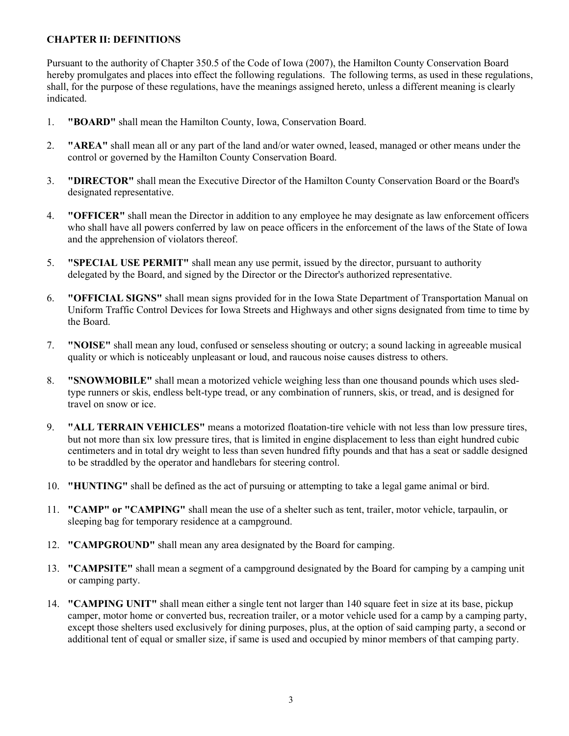## CHAPTER II: DEFINITIONS

Pursuant to the authority of Chapter 350.5 of the Code of Iowa (2007), the Hamilton County Conservation Board hereby promulgates and places into effect the following regulations. The following terms, as used in these regulations, shall, for the purpose of these regulations, have the meanings assigned hereto, unless a different meaning is clearly indicated.

- 1. "BOARD" shall mean the Hamilton County, Iowa, Conservation Board.
- 2. "AREA" shall mean all or any part of the land and/or water owned, leased, managed or other means under the control or governed by the Hamilton County Conservation Board.
- 3. "DIRECTOR" shall mean the Executive Director of the Hamilton County Conservation Board or the Board's designated representative.
- 4. "OFFICER" shall mean the Director in addition to any employee he may designate as law enforcement officers who shall have all powers conferred by law on peace officers in the enforcement of the laws of the State of Iowa and the apprehension of violators thereof.
- 5. "SPECIAL USE PERMIT" shall mean any use permit, issued by the director, pursuant to authority delegated by the Board, and signed by the Director or the Director's authorized representative.
- 6. "OFFICIAL SIGNS" shall mean signs provided for in the Iowa State Department of Transportation Manual on Uniform Traffic Control Devices for Iowa Streets and Highways and other signs designated from time to time by the Board.
- 7. "NOISE" shall mean any loud, confused or senseless shouting or outcry; a sound lacking in agreeable musical quality or which is noticeably unpleasant or loud, and raucous noise causes distress to others.
- 8. "SNOWMOBILE" shall mean a motorized vehicle weighing less than one thousand pounds which uses sledtype runners or skis, endless belt-type tread, or any combination of runners, skis, or tread, and is designed for travel on snow or ice.
- 9. "ALL TERRAIN VEHICLES" means a motorized floatation-tire vehicle with not less than low pressure tires, but not more than six low pressure tires, that is limited in engine displacement to less than eight hundred cubic centimeters and in total dry weight to less than seven hundred fifty pounds and that has a seat or saddle designed to be straddled by the operator and handlebars for steering control.
- 10. "HUNTING" shall be defined as the act of pursuing or attempting to take a legal game animal or bird.
- 11. "CAMP" or "CAMPING" shall mean the use of a shelter such as tent, trailer, motor vehicle, tarpaulin, or sleeping bag for temporary residence at a campground.
- 12. "CAMPGROUND" shall mean any area designated by the Board for camping.
- 13. "CAMPSITE" shall mean a segment of a campground designated by the Board for camping by a camping unit or camping party.
- 14. "CAMPING UNIT" shall mean either a single tent not larger than 140 square feet in size at its base, pickup camper, motor home or converted bus, recreation trailer, or a motor vehicle used for a camp by a camping party, except those shelters used exclusively for dining purposes, plus, at the option of said camping party, a second or additional tent of equal or smaller size, if same is used and occupied by minor members of that camping party.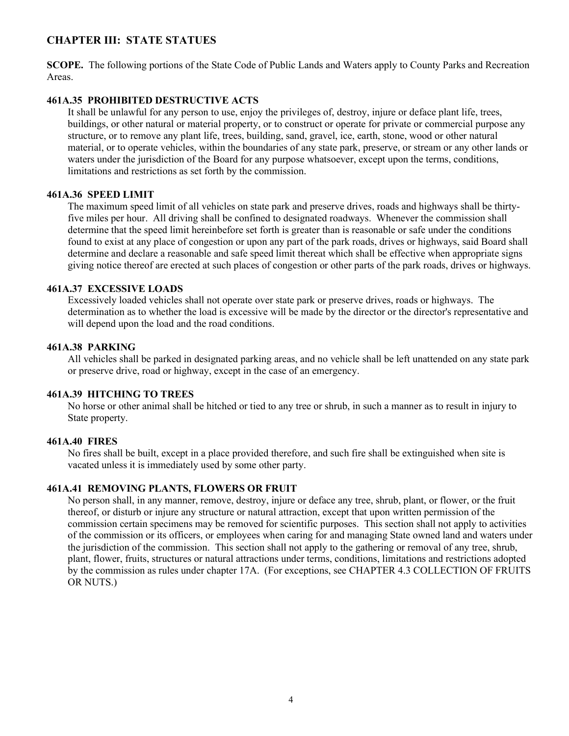## CHAPTER III: STATE STATUES

SCOPE. The following portions of the State Code of Public Lands and Waters apply to County Parks and Recreation Areas.

#### 461A.35 PROHIBITED DESTRUCTIVE ACTS

It shall be unlawful for any person to use, enjoy the privileges of, destroy, injure or deface plant life, trees, buildings, or other natural or material property, or to construct or operate for private or commercial purpose any structure, or to remove any plant life, trees, building, sand, gravel, ice, earth, stone, wood or other natural material, or to operate vehicles, within the boundaries of any state park, preserve, or stream or any other lands or waters under the jurisdiction of the Board for any purpose whatsoever, except upon the terms, conditions, limitations and restrictions as set forth by the commission.

#### 461A.36 SPEED LIMIT

The maximum speed limit of all vehicles on state park and preserve drives, roads and highways shall be thirtyfive miles per hour. All driving shall be confined to designated roadways. Whenever the commission shall determine that the speed limit hereinbefore set forth is greater than is reasonable or safe under the conditions found to exist at any place of congestion or upon any part of the park roads, drives or highways, said Board shall determine and declare a reasonable and safe speed limit thereat which shall be effective when appropriate signs giving notice thereof are erected at such places of congestion or other parts of the park roads, drives or highways.

#### 461A.37 EXCESSIVE LOADS

Excessively loaded vehicles shall not operate over state park or preserve drives, roads or highways. The determination as to whether the load is excessive will be made by the director or the director's representative and will depend upon the load and the road conditions.

#### 461A.38 PARKING

All vehicles shall be parked in designated parking areas, and no vehicle shall be left unattended on any state park or preserve drive, road or highway, except in the case of an emergency.

#### 461A.39 HITCHING TO TREES

No horse or other animal shall be hitched or tied to any tree or shrub, in such a manner as to result in injury to State property.

#### 461A.40 FIRES

No fires shall be built, except in a place provided therefore, and such fire shall be extinguished when site is vacated unless it is immediately used by some other party.

#### 461A.41 REMOVING PLANTS, FLOWERS OR FRUIT

No person shall, in any manner, remove, destroy, injure or deface any tree, shrub, plant, or flower, or the fruit thereof, or disturb or injure any structure or natural attraction, except that upon written permission of the commission certain specimens may be removed for scientific purposes. This section shall not apply to activities of the commission or its officers, or employees when caring for and managing State owned land and waters under the jurisdiction of the commission. This section shall not apply to the gathering or removal of any tree, shrub, plant, flower, fruits, structures or natural attractions under terms, conditions, limitations and restrictions adopted by the commission as rules under chapter 17A. (For exceptions, see CHAPTER 4.3 COLLECTION OF FRUITS OR NUTS.)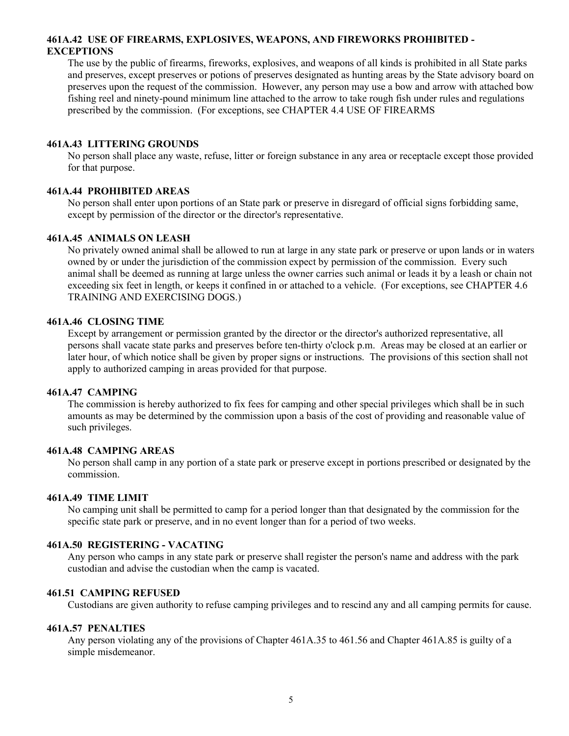#### 461A.42 USE OF FIREARMS, EXPLOSIVES, WEAPONS, AND FIREWORKS PROHIBITED - **EXCEPTIONS**

The use by the public of firearms, fireworks, explosives, and weapons of all kinds is prohibited in all State parks and preserves, except preserves or potions of preserves designated as hunting areas by the State advisory board on preserves upon the request of the commission. However, any person may use a bow and arrow with attached bow fishing reel and ninety-pound minimum line attached to the arrow to take rough fish under rules and regulations prescribed by the commission. (For exceptions, see CHAPTER 4.4 USE OF FIREARMS

#### 461A.43 LITTERING GROUNDS

No person shall place any waste, refuse, litter or foreign substance in any area or receptacle except those provided for that purpose.

#### 461A.44 PROHIBITED AREAS

No person shall enter upon portions of an State park or preserve in disregard of official signs forbidding same, except by permission of the director or the director's representative.

#### 461A.45 ANIMALS ON LEASH

No privately owned animal shall be allowed to run at large in any state park or preserve or upon lands or in waters owned by or under the jurisdiction of the commission expect by permission of the commission. Every such animal shall be deemed as running at large unless the owner carries such animal or leads it by a leash or chain not exceeding six feet in length, or keeps it confined in or attached to a vehicle. (For exceptions, see CHAPTER 4.6 TRAINING AND EXERCISING DOGS.)

#### 461A.46 CLOSING TIME

Except by arrangement or permission granted by the director or the director's authorized representative, all persons shall vacate state parks and preserves before ten-thirty o'clock p.m. Areas may be closed at an earlier or later hour, of which notice shall be given by proper signs or instructions. The provisions of this section shall not apply to authorized camping in areas provided for that purpose.

#### 461A.47 CAMPING

The commission is hereby authorized to fix fees for camping and other special privileges which shall be in such amounts as may be determined by the commission upon a basis of the cost of providing and reasonable value of such privileges.

## 461A.48 CAMPING AREAS

No person shall camp in any portion of a state park or preserve except in portions prescribed or designated by the commission.

#### 461A.49 TIME LIMIT

No camping unit shall be permitted to camp for a period longer than that designated by the commission for the specific state park or preserve, and in no event longer than for a period of two weeks.

#### 461A.50 REGISTERING - VACATING

Any person who camps in any state park or preserve shall register the person's name and address with the park custodian and advise the custodian when the camp is vacated.

#### 461.51 CAMPING REFUSED

Custodians are given authority to refuse camping privileges and to rescind any and all camping permits for cause.

#### 461A.57 PENALTIES

Any person violating any of the provisions of Chapter 461A.35 to 461.56 and Chapter 461A.85 is guilty of a simple misdemeanor.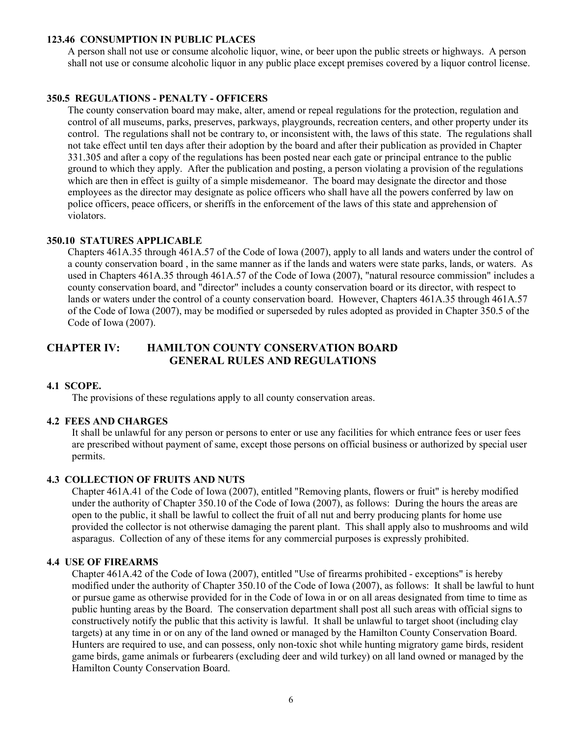#### 123.46 CONSUMPTION IN PUBLIC PLACES

A person shall not use or consume alcoholic liquor, wine, or beer upon the public streets or highways. A person shall not use or consume alcoholic liquor in any public place except premises covered by a liquor control license.

### 350.5 REGULATIONS - PENALTY - OFFICERS

The county conservation board may make, alter, amend or repeal regulations for the protection, regulation and control of all museums, parks, preserves, parkways, playgrounds, recreation centers, and other property under its control. The regulations shall not be contrary to, or inconsistent with, the laws of this state. The regulations shall not take effect until ten days after their adoption by the board and after their publication as provided in Chapter 331.305 and after a copy of the regulations has been posted near each gate or principal entrance to the public ground to which they apply. After the publication and posting, a person violating a provision of the regulations which are then in effect is guilty of a simple misdemeanor. The board may designate the director and those employees as the director may designate as police officers who shall have all the powers conferred by law on police officers, peace officers, or sheriffs in the enforcement of the laws of this state and apprehension of violators.

### 350.10 STATURES APPLICABLE

Chapters 461A.35 through 461A.57 of the Code of Iowa (2007), apply to all lands and waters under the control of a county conservation board , in the same manner as if the lands and waters were state parks, lands, or waters. As used in Chapters 461A.35 through 461A.57 of the Code of Iowa (2007), "natural resource commission" includes a county conservation board, and "director" includes a county conservation board or its director, with respect to lands or waters under the control of a county conservation board. However, Chapters 461A.35 through 461A.57 of the Code of Iowa (2007), may be modified or superseded by rules adopted as provided in Chapter 350.5 of the Code of Iowa (2007).

## CHAPTER IV: HAMILTON COUNTY CONSERVATION BOARD GENERAL RULES AND REGULATIONS

### 4.1 SCOPE.

The provisions of these regulations apply to all county conservation areas.

#### 4.2 FEES AND CHARGES

It shall be unlawful for any person or persons to enter or use any facilities for which entrance fees or user fees are prescribed without payment of same, except those persons on official business or authorized by special user permits.

#### 4.3 COLLECTION OF FRUITS AND NUTS

Chapter 461A.41 of the Code of Iowa (2007), entitled "Removing plants, flowers or fruit" is hereby modified under the authority of Chapter 350.10 of the Code of Iowa (2007), as follows: During the hours the areas are open to the public, it shall be lawful to collect the fruit of all nut and berry producing plants for home use provided the collector is not otherwise damaging the parent plant. This shall apply also to mushrooms and wild asparagus. Collection of any of these items for any commercial purposes is expressly prohibited.

#### 4.4 USE OF FIREARMS

Chapter 461A.42 of the Code of Iowa (2007), entitled "Use of firearms prohibited - exceptions" is hereby modified under the authority of Chapter 350.10 of the Code of Iowa (2007), as follows: It shall be lawful to hunt or pursue game as otherwise provided for in the Code of Iowa in or on all areas designated from time to time as public hunting areas by the Board. The conservation department shall post all such areas with official signs to constructively notify the public that this activity is lawful. It shall be unlawful to target shoot (including clay targets) at any time in or on any of the land owned or managed by the Hamilton County Conservation Board. Hunters are required to use, and can possess, only non-toxic shot while hunting migratory game birds, resident game birds, game animals or furbearers (excluding deer and wild turkey) on all land owned or managed by the Hamilton County Conservation Board.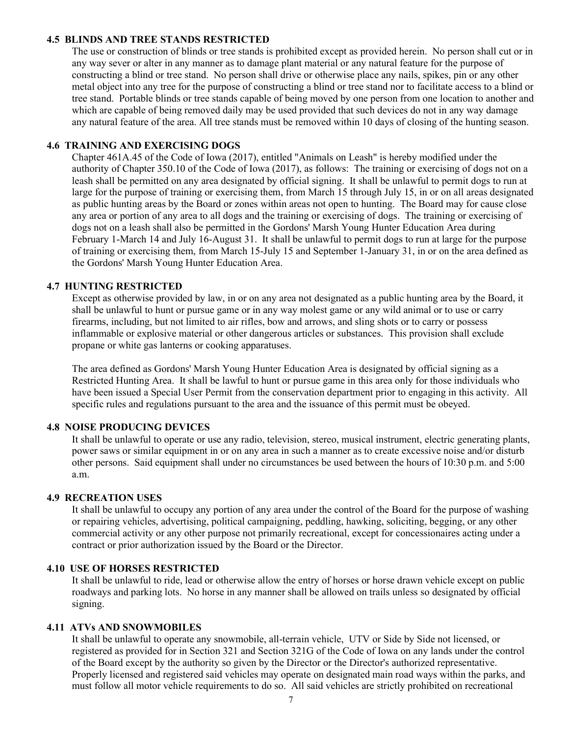#### 4.5 BLINDS AND TREE STANDS RESTRICTED

The use or construction of blinds or tree stands is prohibited except as provided herein. No person shall cut or in any way sever or alter in any manner as to damage plant material or any natural feature for the purpose of constructing a blind or tree stand. No person shall drive or otherwise place any nails, spikes, pin or any other metal object into any tree for the purpose of constructing a blind or tree stand nor to facilitate access to a blind or tree stand. Portable blinds or tree stands capable of being moved by one person from one location to another and which are capable of being removed daily may be used provided that such devices do not in any way damage any natural feature of the area. All tree stands must be removed within 10 days of closing of the hunting season.

#### 4.6 TRAINING AND EXERCISING DOGS

Chapter 461A.45 of the Code of Iowa (2017), entitled "Animals on Leash" is hereby modified under the authority of Chapter 350.10 of the Code of Iowa (2017), as follows: The training or exercising of dogs not on a leash shall be permitted on any area designated by official signing. It shall be unlawful to permit dogs to run at large for the purpose of training or exercising them, from March 15 through July 15, in or on all areas designated as public hunting areas by the Board or zones within areas not open to hunting. The Board may for cause close any area or portion of any area to all dogs and the training or exercising of dogs. The training or exercising of dogs not on a leash shall also be permitted in the Gordons' Marsh Young Hunter Education Area during February 1-March 14 and July 16-August 31. It shall be unlawful to permit dogs to run at large for the purpose of training or exercising them, from March 15-July 15 and September 1-January 31, in or on the area defined as the Gordons' Marsh Young Hunter Education Area.

## 4.7 HUNTING RESTRICTED

Except as otherwise provided by law, in or on any area not designated as a public hunting area by the Board, it shall be unlawful to hunt or pursue game or in any way molest game or any wild animal or to use or carry firearms, including, but not limited to air rifles, bow and arrows, and sling shots or to carry or possess inflammable or explosive material or other dangerous articles or substances. This provision shall exclude propane or white gas lanterns or cooking apparatuses.

The area defined as Gordons' Marsh Young Hunter Education Area is designated by official signing as a Restricted Hunting Area. It shall be lawful to hunt or pursue game in this area only for those individuals who have been issued a Special User Permit from the conservation department prior to engaging in this activity. All specific rules and regulations pursuant to the area and the issuance of this permit must be obeyed.

#### 4.8 NOISE PRODUCING DEVICES

It shall be unlawful to operate or use any radio, television, stereo, musical instrument, electric generating plants, power saws or similar equipment in or on any area in such a manner as to create excessive noise and/or disturb other persons. Said equipment shall under no circumstances be used between the hours of 10:30 p.m. and 5:00 a.m.

#### 4.9 RECREATION USES

It shall be unlawful to occupy any portion of any area under the control of the Board for the purpose of washing or repairing vehicles, advertising, political campaigning, peddling, hawking, soliciting, begging, or any other commercial activity or any other purpose not primarily recreational, except for concessionaires acting under a contract or prior authorization issued by the Board or the Director.

#### 4.10 USE OF HORSES RESTRICTED

It shall be unlawful to ride, lead or otherwise allow the entry of horses or horse drawn vehicle except on public roadways and parking lots. No horse in any manner shall be allowed on trails unless so designated by official signing.

## 4.11 ATVs AND SNOWMOBILES

It shall be unlawful to operate any snowmobile, all-terrain vehicle, UTV or Side by Side not licensed, or registered as provided for in Section 321 and Section 321G of the Code of Iowa on any lands under the control of the Board except by the authority so given by the Director or the Director's authorized representative. Properly licensed and registered said vehicles may operate on designated main road ways within the parks, and must follow all motor vehicle requirements to do so. All said vehicles are strictly prohibited on recreational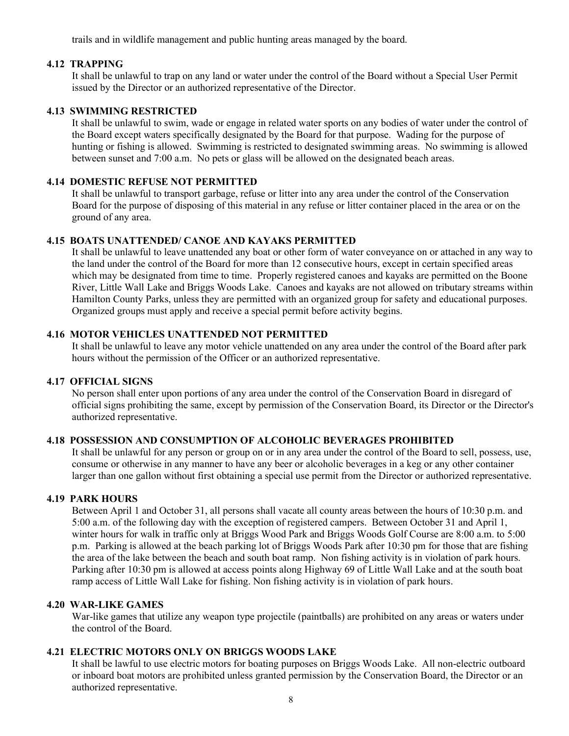trails and in wildlife management and public hunting areas managed by the board.

#### 4.12 TRAPPING

It shall be unlawful to trap on any land or water under the control of the Board without a Special User Permit issued by the Director or an authorized representative of the Director.

### 4.13 SWIMMING RESTRICTED

It shall be unlawful to swim, wade or engage in related water sports on any bodies of water under the control of the Board except waters specifically designated by the Board for that purpose. Wading for the purpose of hunting or fishing is allowed. Swimming is restricted to designated swimming areas. No swimming is allowed between sunset and 7:00 a.m. No pets or glass will be allowed on the designated beach areas.

## 4.14 DOMESTIC REFUSE NOT PERMITTED

It shall be unlawful to transport garbage, refuse or litter into any area under the control of the Conservation Board for the purpose of disposing of this material in any refuse or litter container placed in the area or on the ground of any area.

### 4.15 BOATS UNATTENDED/ CANOE AND KAYAKS PERMITTED

It shall be unlawful to leave unattended any boat or other form of water conveyance on or attached in any way to the land under the control of the Board for more than 12 consecutive hours, except in certain specified areas which may be designated from time to time. Properly registered canoes and kayaks are permitted on the Boone River, Little Wall Lake and Briggs Woods Lake. Canoes and kayaks are not allowed on tributary streams within Hamilton County Parks, unless they are permitted with an organized group for safety and educational purposes. Organized groups must apply and receive a special permit before activity begins.

#### 4.16 MOTOR VEHICLES UNATTENDED NOT PERMITTED

It shall be unlawful to leave any motor vehicle unattended on any area under the control of the Board after park hours without the permission of the Officer or an authorized representative.

#### 4.17 OFFICIAL SIGNS

No person shall enter upon portions of any area under the control of the Conservation Board in disregard of official signs prohibiting the same, except by permission of the Conservation Board, its Director or the Director's authorized representative.

### 4.18 POSSESSION AND CONSUMPTION OF ALCOHOLIC BEVERAGES PROHIBITED

It shall be unlawful for any person or group on or in any area under the control of the Board to sell, possess, use, consume or otherwise in any manner to have any beer or alcoholic beverages in a keg or any other container larger than one gallon without first obtaining a special use permit from the Director or authorized representative.

#### 4.19 PARK HOURS

Between April 1 and October 31, all persons shall vacate all county areas between the hours of 10:30 p.m. and 5:00 a.m. of the following day with the exception of registered campers. Between October 31 and April 1, winter hours for walk in traffic only at Briggs Wood Park and Briggs Woods Golf Course are 8:00 a.m. to 5:00 p.m. Parking is allowed at the beach parking lot of Briggs Woods Park after 10:30 pm for those that are fishing the area of the lake between the beach and south boat ramp. Non fishing activity is in violation of park hours. Parking after 10:30 pm is allowed at access points along Highway 69 of Little Wall Lake and at the south boat ramp access of Little Wall Lake for fishing. Non fishing activity is in violation of park hours.

#### 4.20 WAR-LIKE GAMES

War-like games that utilize any weapon type projectile (paintballs) are prohibited on any areas or waters under the control of the Board.

### 4.21 ELECTRIC MOTORS ONLY ON BRIGGS WOODS LAKE

It shall be lawful to use electric motors for boating purposes on Briggs Woods Lake. All non-electric outboard or inboard boat motors are prohibited unless granted permission by the Conservation Board, the Director or an authorized representative.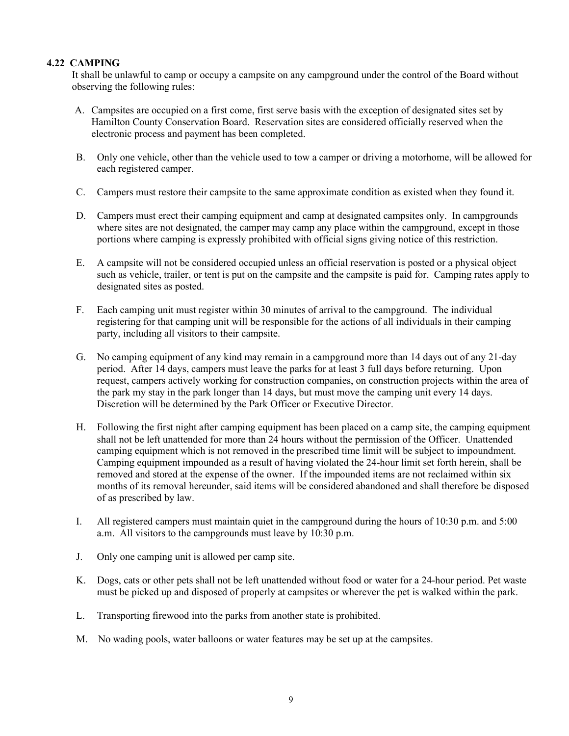## 4.22 CAMPING

It shall be unlawful to camp or occupy a campsite on any campground under the control of the Board without observing the following rules:

- A. Campsites are occupied on a first come, first serve basis with the exception of designated sites set by Hamilton County Conservation Board. Reservation sites are considered officially reserved when the electronic process and payment has been completed.
- B. Only one vehicle, other than the vehicle used to tow a camper or driving a motorhome, will be allowed for each registered camper.
- C. Campers must restore their campsite to the same approximate condition as existed when they found it.
- D. Campers must erect their camping equipment and camp at designated campsites only. In campgrounds where sites are not designated, the camper may camp any place within the campground, except in those portions where camping is expressly prohibited with official signs giving notice of this restriction.
- E. A campsite will not be considered occupied unless an official reservation is posted or a physical object such as vehicle, trailer, or tent is put on the campsite and the campsite is paid for. Camping rates apply to designated sites as posted.
- F. Each camping unit must register within 30 minutes of arrival to the campground. The individual registering for that camping unit will be responsible for the actions of all individuals in their camping party, including all visitors to their campsite.
- G. No camping equipment of any kind may remain in a campground more than 14 days out of any 21-day period. After 14 days, campers must leave the parks for at least 3 full days before returning. Upon request, campers actively working for construction companies, on construction projects within the area of the park my stay in the park longer than 14 days, but must move the camping unit every 14 days. Discretion will be determined by the Park Officer or Executive Director.
- H. Following the first night after camping equipment has been placed on a camp site, the camping equipment shall not be left unattended for more than 24 hours without the permission of the Officer. Unattended camping equipment which is not removed in the prescribed time limit will be subject to impoundment. Camping equipment impounded as a result of having violated the 24-hour limit set forth herein, shall be removed and stored at the expense of the owner. If the impounded items are not reclaimed within six months of its removal hereunder, said items will be considered abandoned and shall therefore be disposed of as prescribed by law.
- I. All registered campers must maintain quiet in the campground during the hours of 10:30 p.m. and 5:00 a.m. All visitors to the campgrounds must leave by 10:30 p.m.
- J. Only one camping unit is allowed per camp site.
- K. Dogs, cats or other pets shall not be left unattended without food or water for a 24-hour period. Pet waste must be picked up and disposed of properly at campsites or wherever the pet is walked within the park.
- L. Transporting firewood into the parks from another state is prohibited.
- M. No wading pools, water balloons or water features may be set up at the campsites.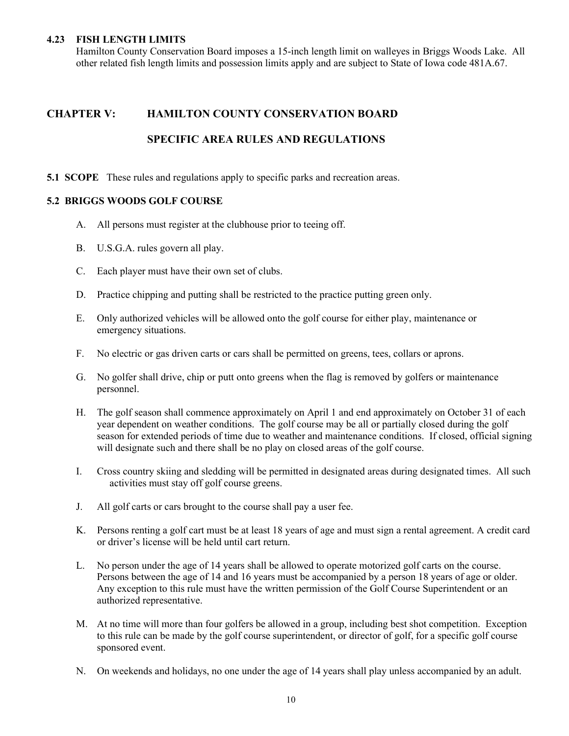#### 4.23 FISH LENGTH LIMITS

Hamilton County Conservation Board imposes a 15-inch length limit on walleyes in Briggs Woods Lake. All other related fish length limits and possession limits apply and are subject to State of Iowa code 481A.67.

## CHAPTER V: HAMILTON COUNTY CONSERVATION BOARD

## SPECIFIC AREA RULES AND REGULATIONS

5.1 SCOPE These rules and regulations apply to specific parks and recreation areas.

#### 5.2 BRIGGS WOODS GOLF COURSE

- A. All persons must register at the clubhouse prior to teeing off.
- B. U.S.G.A. rules govern all play.
- C. Each player must have their own set of clubs.
- D. Practice chipping and putting shall be restricted to the practice putting green only.
- E. Only authorized vehicles will be allowed onto the golf course for either play, maintenance or emergency situations.
- F. No electric or gas driven carts or cars shall be permitted on greens, tees, collars or aprons.
- G. No golfer shall drive, chip or putt onto greens when the flag is removed by golfers or maintenance personnel.
- H. The golf season shall commence approximately on April 1 and end approximately on October 31 of each year dependent on weather conditions. The golf course may be all or partially closed during the golf season for extended periods of time due to weather and maintenance conditions. If closed, official signing will designate such and there shall be no play on closed areas of the golf course.
- I. Cross country skiing and sledding will be permitted in designated areas during designated times. All such activities must stay off golf course greens.
- J. All golf carts or cars brought to the course shall pay a user fee.
- K. Persons renting a golf cart must be at least 18 years of age and must sign a rental agreement. A credit card or driver's license will be held until cart return.
- L. No person under the age of 14 years shall be allowed to operate motorized golf carts on the course. Persons between the age of 14 and 16 years must be accompanied by a person 18 years of age or older. Any exception to this rule must have the written permission of the Golf Course Superintendent or an authorized representative.
- M. At no time will more than four golfers be allowed in a group, including best shot competition. Exception to this rule can be made by the golf course superintendent, or director of golf, for a specific golf course sponsored event.
- N. On weekends and holidays, no one under the age of 14 years shall play unless accompanied by an adult.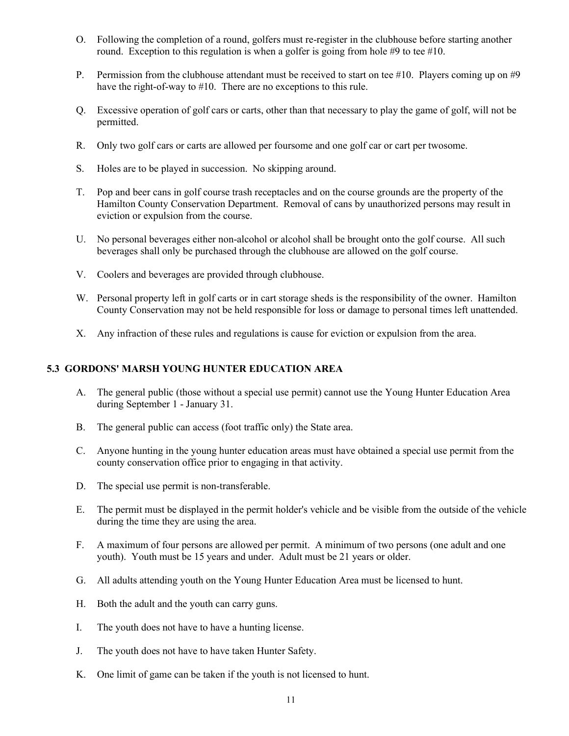- O. Following the completion of a round, golfers must re-register in the clubhouse before starting another round. Exception to this regulation is when a golfer is going from hole #9 to tee #10.
- P. Permission from the clubhouse attendant must be received to start on tee #10. Players coming up on #9 have the right-of-way to #10. There are no exceptions to this rule.
- Q. Excessive operation of golf cars or carts, other than that necessary to play the game of golf, will not be permitted.
- R. Only two golf cars or carts are allowed per foursome and one golf car or cart per twosome.
- S. Holes are to be played in succession. No skipping around.
- T. Pop and beer cans in golf course trash receptacles and on the course grounds are the property of the Hamilton County Conservation Department. Removal of cans by unauthorized persons may result in eviction or expulsion from the course.
- U. No personal beverages either non-alcohol or alcohol shall be brought onto the golf course. All such beverages shall only be purchased through the clubhouse are allowed on the golf course.
- V. Coolers and beverages are provided through clubhouse.
- W. Personal property left in golf carts or in cart storage sheds is the responsibility of the owner. Hamilton County Conservation may not be held responsible for loss or damage to personal times left unattended.
- X. Any infraction of these rules and regulations is cause for eviction or expulsion from the area.

## 5.3 GORDONS' MARSH YOUNG HUNTER EDUCATION AREA

- A. The general public (those without a special use permit) cannot use the Young Hunter Education Area during September 1 - January 31.
- B. The general public can access (foot traffic only) the State area.
- C. Anyone hunting in the young hunter education areas must have obtained a special use permit from the county conservation office prior to engaging in that activity.
- D. The special use permit is non-transferable.
- E. The permit must be displayed in the permit holder's vehicle and be visible from the outside of the vehicle during the time they are using the area.
- F. A maximum of four persons are allowed per permit. A minimum of two persons (one adult and one youth). Youth must be 15 years and under. Adult must be 21 years or older.
- G. All adults attending youth on the Young Hunter Education Area must be licensed to hunt.
- H. Both the adult and the youth can carry guns.
- I. The youth does not have to have a hunting license.
- J. The youth does not have to have taken Hunter Safety.
- K. One limit of game can be taken if the youth is not licensed to hunt.